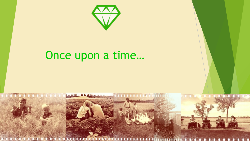

## Once upon a time...

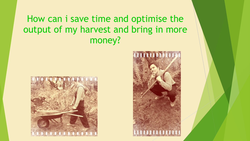#### How can i save time and optimise the output of my harvest and bring in more money?



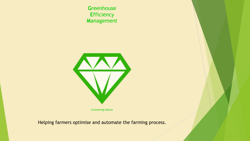Greenhouse **Efficiency** Management



**Connecting Nature** 

Helping farmers optimise and automate the farming process.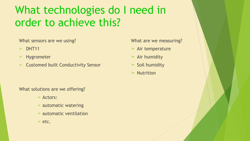### What technologies do I need in order to achieve this?

What sensors are we using?

- $\triangleright$  DHT11
- ➢ Hygrometer
- $\triangleright$  Customed built Conductivity Sensor

What solutions are we offering?

- ➢ Actors:
- $\triangleright$  automatic watering
- $\triangleright$  automatic ventilation
- $>$  etc.

What are we measuring?

- $\triangleright$  Air temperature
- $\triangleright$  Air humidity
- $\triangleright$  Soil humidity
- $>$  Nutrition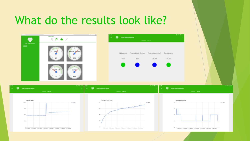#### What do the results look like?



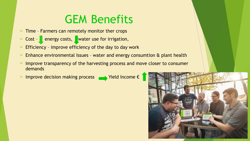# GEM Benefits

- $\geq$  Time Farmers can remotely monitor ther crops
- $\triangleright$  Cost energy costs, water use for irrigation,
- Efficiency improve efficiency of the day to day work
- Enhance environmental Issues water and energy consumtion & plant health
- Improve transparency of the harvesting process and move closer to consumer demands
- Improve decision making process  $\qquad \qquad$  Yield Income  $\epsilon$